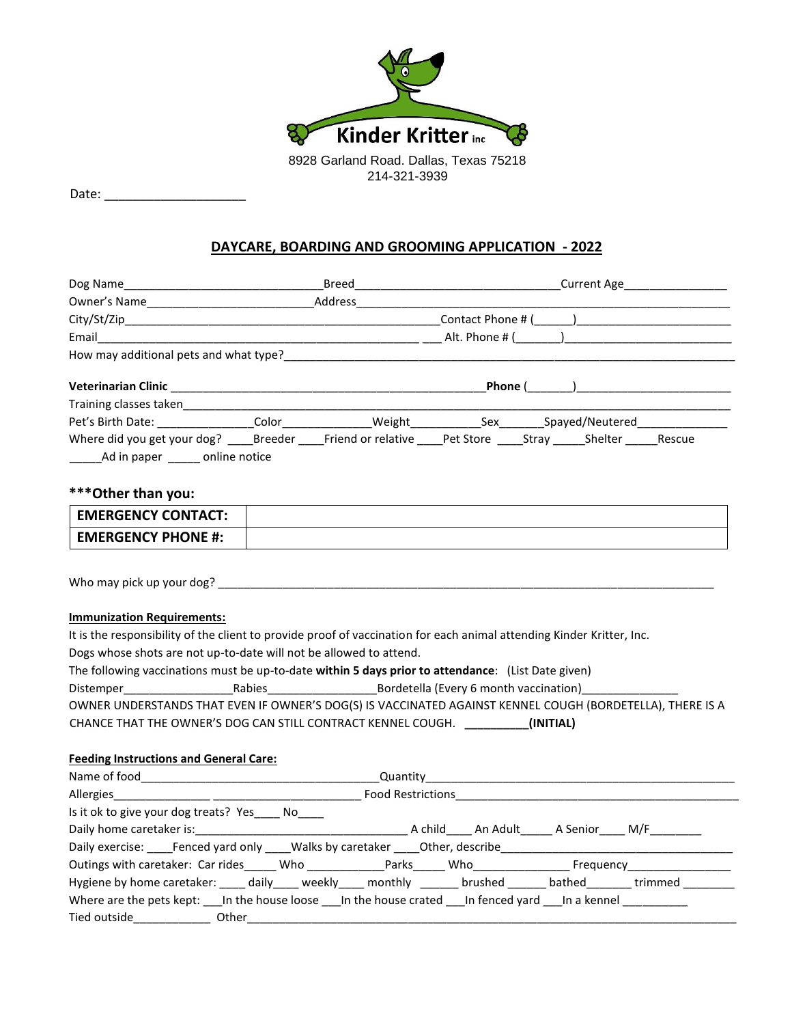

Date:  $\Box$ 

## **DAYCARE, BOARDING AND GROOMING APPLICATION - 2022**

|                                                                                                                                                                                             |  |  |  | Pet's Birth Date: _________________Color_______________Weight______________Sex________Spayed/Neutered_______________ |  |
|---------------------------------------------------------------------------------------------------------------------------------------------------------------------------------------------|--|--|--|----------------------------------------------------------------------------------------------------------------------|--|
|                                                                                                                                                                                             |  |  |  |                                                                                                                      |  |
| ***Other than you:                                                                                                                                                                          |  |  |  |                                                                                                                      |  |
| <b>EMERGENCY CONTACT:</b>                                                                                                                                                                   |  |  |  |                                                                                                                      |  |
| <b>EMERGENCY PHONE #:</b>                                                                                                                                                                   |  |  |  |                                                                                                                      |  |
|                                                                                                                                                                                             |  |  |  |                                                                                                                      |  |
| <b>Immunization Requirements:</b>                                                                                                                                                           |  |  |  |                                                                                                                      |  |
| It is the responsibility of the client to provide proof of vaccination for each animal attending Kinder Kritter, Inc.<br>Dogs whose shots are not up-to-date will not be allowed to attend. |  |  |  |                                                                                                                      |  |
|                                                                                                                                                                                             |  |  |  |                                                                                                                      |  |

The following vaccinations must be up-to-date **within 5 days prior to attendance**: (List Date given)

Distemper\_\_\_\_\_\_\_\_\_\_\_\_\_\_\_\_\_Rabies\_\_\_\_\_\_\_\_\_\_\_\_\_\_\_\_\_Bordetella (Every 6 month vaccination)\_\_\_\_\_\_\_\_\_\_\_\_\_\_\_

| OWNER UNDERSTANDS THAT EVEN IF OWNER'S DOG(S) IS VACCINATED AGAINST KENNEL COUGH (BORDETELLA), THERE IS A |  |           |  |
|-----------------------------------------------------------------------------------------------------------|--|-----------|--|
| CHANCE THAT THE OWNER'S DOG CAN STILL CONTRACT KENNEL COUGH.                                              |  | (INITIAL) |  |

## **Feeding Instructions and General Care:**

| Name of food                                                                                                            | <b>Quantity Contract Contract Contract Contract Contract Contract Contract Contract Contract Contract Contract Contract Contract Contract Contract Contract Contract Contract Contract Contract Contract Contract Contract Con</b> |  |
|-------------------------------------------------------------------------------------------------------------------------|------------------------------------------------------------------------------------------------------------------------------------------------------------------------------------------------------------------------------------|--|
| Allergies and the state of the state of the state of the state of the state of the state of the state of the s          | Food Restrictions_______                                                                                                                                                                                                           |  |
| Is it ok to give your dog treats? Yes ______ No_____                                                                    |                                                                                                                                                                                                                                    |  |
|                                                                                                                         |                                                                                                                                                                                                                                    |  |
| Daily exercise: Fenced yard only Walks by caretaker Other, describe                                                     |                                                                                                                                                                                                                                    |  |
| Outings with caretaker: Car rides _____ Who _____________ Parks ____ Who _____________ Frequency ____________           |                                                                                                                                                                                                                                    |  |
| Hygiene by home caretaker: _____ daily _____ weekly _____ monthly _______ brushed _______ bathed _______ trimmed ______ |                                                                                                                                                                                                                                    |  |
| Where are the pets kept: In the house loose In the house crated In fenced yard In a kennel                              |                                                                                                                                                                                                                                    |  |
| Tied outside<br><u>Letter</u> and the other                                                                             |                                                                                                                                                                                                                                    |  |